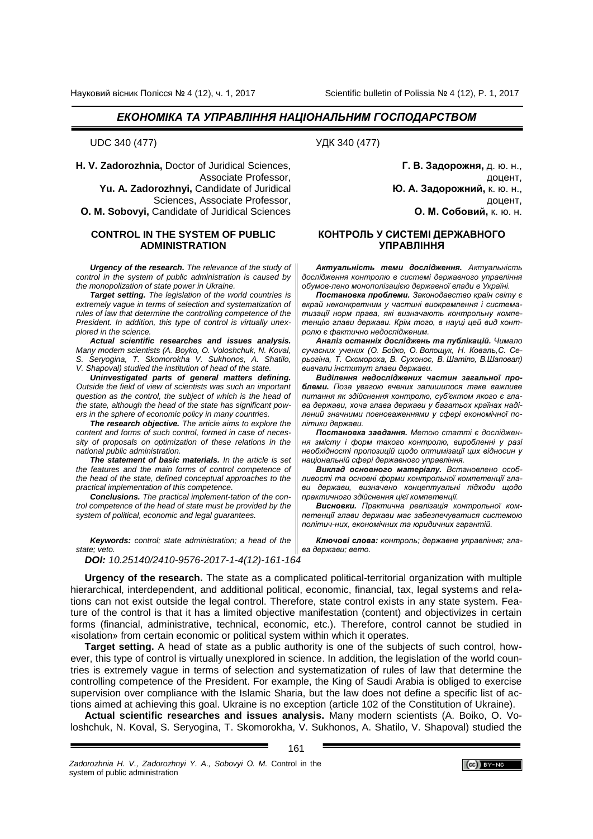**H. V. Zadorozhnia,** Doctor of Juridical Sciences, Associate Professor, **Yu. A. Zadorozhnyi,** Candidate of Juridical Sciences, Associate Professor, **О. M. Sobovyi,** Candidate of Juridical Sciences

### **CONTROL IN THE SYSTEM OF PUBLIC ADMINISTRATION**

*Urgency of the research. The relevance of the study of control in the system of public administration is caused by the monopolization of state power in Ukraine.*

*Target setting. The legislation of the world countries is extremely vague in terms of selection and systematization of rules of law that determine the controlling competence of the President. In addition, this type of control is virtually unexplored in the science.*

*Actual scientific researches and issues analysis. Many modern scientists (A. Boyko, O. Voloshchuk, N. Koval, S. Seryogina, T. Skomorokha V. Sukhonos, A. Shatilo, V. Shapoval) studied the institution of head of the state.*

*Uninvestigated parts of general matters defining. Оutside the field of view of scientists was such an important question as the control, the subject of which is the head of the state, although the head of the state has significant powers in the sphere of economic policy in many countries.*

*The research objective. The article aims to explore the content and forms of such control, formed in case of necessity of proposals on optimization of these relations in the national public administration.*

*The statement of basic materials. Іn the article is set the features and the main forms of control competence of the head of the state, defined conceptual approaches to the practical implementation of this competence.*

*Conclusions. The practical implement-tation of the control competence of the head of state must be provided by the system of political, economic and legal guarantees.*

*Keywords: control; state administration; a head of the state; veto.*

*DOI: 10.25140/2410-9576-2017-1-4(12)-161-164*

UDC 340 (477) УДК 340 (477)

**Г. В. Задорожня,** д. ю. н., доцент, **Ю. А. Задорожний,** к. ю. н., доцент, **О. М. Собовий,** к. ю. н.

### **КОНТРОЛЬ У СИСТЕМІ ДЕРЖАВНОГО УПРАВЛІННЯ**

*Актуальність теми дослідження. Актуальність дослідження контролю в системі державного управління обумов-лено монополізацією державної влади в Україні.* 

*Постановка проблеми. Законодавство країн світу є вкрай неконкретним у частині виокремлення і систематизації норм права, які визначають контрольну компетенцію глави держави. Крім того, в науці цей вид контролю є фактично недослідженим.*

*Аналіз останніх досліджень та публікацій. Чимало сучасних учених (О. Бойко, О. Волощук, Н. Коваль,С. Серьогіна, Т. Скомороха, В. Сухонос, В. Шатіло, В.Шаповал) вивчали інститут глави держави.* 

*Виділення недосліджених частин загальної проблеми. Поза увагою вчених залишилося таке важливе питання як здійснення контролю, суб'єктом якого є глава держави, хоча глава держави у багатьох країнах наділений значними повноваженнями у сфері економічної політики держави.*

*Постановка завдання. Метою статті є дослідження змісту і форм такого контролю, виробленні у разі необхідності пропозицій щодо оптимізації цих відносин у національній сфері державного управління.*

*Виклад основного матеріалу. Встановлено особливості та основні форми контрольної компетенції глави держави, визначено концептуальні підходи щодо практичного здійснення цієї компетенції.*

*Висновки. Практична реалізація контрольної компетенції глави держави має забезпечуватися системою політич-них, економічних та юридичних гарантій.*

*Ключові слова: контроль; державне управління; глава держави; вето.*

**Urgency of the research.** The state as a complicated political-territorial organization with multiple hierarchical, interdependent, and additional political, economic, financial, tax, legal systems and relations can not exist outside the legal control. Therefore, state control exists in any state system. Feature of the control is that it has a limited objective manifestation (content) and objectivizes in certain forms (financial, administrative, technical, economic, etc.). Therefore, control cannot be studied in «isolation» from certain economic or political system within which it operates.

**Target setting.** A head of state as a public authority is one of the subjects of such control, however, this type of control is virtually unexplored in science. In addition, the legislation of the world countries is extremely vague in terms of selection and systematization of rules of law that determine the controlling competence of the President. For example, the King of Saudi Arabia is obliged to exercise supervision over compliance with the Islamic Sharia, but the law does not define a specific list of actions aimed at achieving this goal. Ukraine is no exception (article 102 of the Constitution of Ukraine).

**Actual scientific researches and issues analysis.** Many modern scientists (A. Boiko, O. Voloshchuk, N. Koval, S. Seryogina, T. Skomorokha, V. Sukhonos, A. Shatilo, V. Shapoval) studied the

161

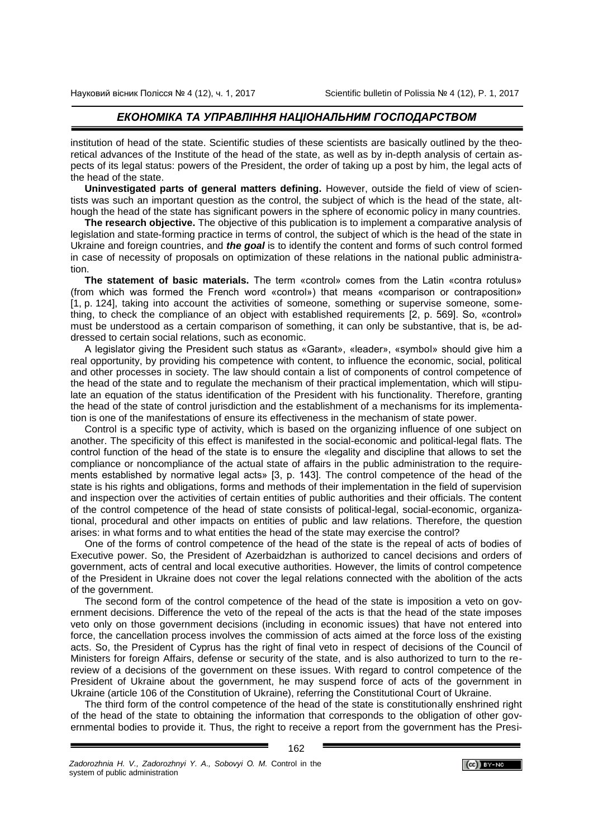institution of head of the state. Scientific studies of these scientists are basically outlined by the theoretical advances of the Institute of the head of the state, as well as by in-depth analysis of certain aspects of its legal status: powers of the President, the order of taking up a post by him, the legal acts of the head of the state.

**Uninvestigated parts of general matters defining.** However, outside the field of view of scientists was such an important question as the control, the subject of which is the head of the state, although the head of the state has significant powers in the sphere of economic policy in many countries.

**The research objective.** The objective of this publication is to implement a comparative analysis of legislation and state-forming practice in terms of control, the subject of which is the head of the state in Ukraine and foreign countries, and *the goal* is to identify the content and forms of such control formed in case of necessity of proposals on optimization of these relations in the national public administration.

**The statement of basic materials.** The term «control» comes from the Latin «contra rotulus» (from which was formed the French word «control») that means «comparison or contraposition» [1, p. 124], taking into account the activities of someone, something or supervise someone, something, to check the compliance of an object with established requirements [2, p. 569]. So, «control» must be understood as a certain comparison of something, it can only be substantive, that is, be addressed to certain social relations, such as economic.

A legislator giving the President such status as «Garant», «leader», «symbol» should give him a real opportunity, by providing his competence with content, to influence the economic, social, political and other processes in society. The law should contain a list of components of control competence of the head of the state and to regulate the mechanism of their practical implementation, which will stipulate an equation of the status identification of the President with his functionality. Therefore, granting the head of the state of control jurisdiction and the establishment of a mechanisms for its implementation is one of the manifestations of ensure its effectiveness in the mechanism of state power.

Control is a specific type of activity, which is based on the organizing influence of one subject on another. The specificity of this effect is manifested in the social-economic and political-legal flats. The control function of the head of the state is to ensure the «legality and discipline that allows to set the compliance or noncompliance of the actual state of affairs in the public administration to the requirements established by normative legal acts» [3, p. 143]. The control competence of the head of the state is his rights and obligations, forms and methods of their implementation in the field of supervision and inspection over the activities of certain entities of public authorities and their officials. The content of the control competence of the head of state consists of political-legal, social-economic, organizational, procedural and other impacts on entities of public and law relations. Therefore, the question arises: in what forms and to what entities the head of the state may exercise the control?

One of the forms of control competence of the head of the state is the repeal of acts of bodies of Executive power. So, the President of Azerbaidzhan is authorized to cancel decisions and orders of government, acts of central and local executive authorities. However, the limits of control competence of the President in Ukraine does not cover the legal relations connected with the abolition of the acts of the government.

The second form of the control competence of the head of the state is imposition a veto on government decisions. Difference the veto of the repeal of the acts is that the head of the state imposes veto only on those government decisions (including in economic issues) that have not entered into force, the cancellation process involves the commission of acts aimed at the force loss of the existing acts. So, the President of Cyprus has the right of final veto in respect of decisions of the Council of Ministers for foreign Affairs, defense or security of the state, and is also authorized to turn to the rereview of a decisions of the government on these issues. With regard to control competence of the President of Ukraine about the government, he may suspend force of acts of the government in Ukraine (article 106 of the Constitution of Ukraine), referring the Сonstitutional Court of Ukraine.

The third form of the control competence of the head of the state is constitutionally enshrined right of the head of the state to obtaining the information that corresponds to the obligation of other governmental bodies to provide it. Thus, the right to receive a report from the government has the Presi-

*Zadorozhnia H. V., Zadorozhnyi Y. A., Sobovyi О. M.* Control in the system of public administration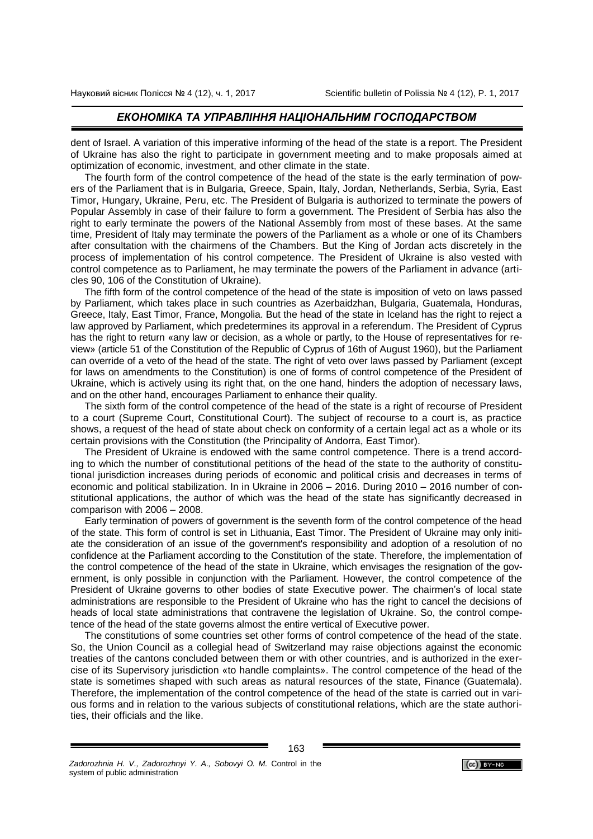dent of Israel. A variation of this imperative informing of the head of the state is a report. The President of Ukraine has also the right to participate in government meeting and to make proposals aimed at optimization of economic, investment, and other climate in the state.

The fourth form of the control competence of the head of the state is the early termination of powers of the Parliament that is in Bulgaria, Greece, Spain, Italy, Jordan, Netherlands, Serbia, Syria, East Timor, Hungary, Ukraine, Peru, etc. The President of Bulgaria is authorized to terminate the powers of Popular Assembly in case of their failure to form a government. The President of Serbia has also the right to early terminate the powers of the National Assembly from most of these bases. At the same time, President of Italy may terminate the powers of the Parliament as a whole or one of its Chambers after consultation with the chairmens of the Chambers. But the King of Jordan acts discretely in the process of implementation of his control competence. The President of Ukraine is also vested with control competence as to Parliament, he may terminate the powers of the Parliament in advance (articles 90, 106 of the Constitution of Ukraine).

The fifth form of the control competence of the head of the state is imposition of veto on laws passed by Parliament, which takes place in such countries as Azerbaidzhan, Bulgaria, Guatemala, Honduras, Greece, Italy, East Timor, France, Mongolia. But the head of the state in Iceland has the right to reject a law approved by Parliament, which predetermines its approval in a referendum. The President of Cyprus has the right to return «any law or decision, as a whole or partly, to the House of representatives for review» (article 51 of the Constitution of the Republic of Cyprus of 16th of August 1960), but the Parliament can override of a veto of the head of the state. The right of veto over laws passed by Parliament (except for laws on amendments to the Constitution) is one of forms of control competence of the President of Ukraine, which is actively using its right that, on the one hand, hinders the adoption of necessary laws, and on the other hand, encourages Parliament to enhance their quality.

The sixth form of the control competence of the head of the state is a right of recourse of President to a court (Supreme Court, Constitutional Court). The subject of recourse to a court is, as practice shows, a request of the head of state about check on conformity of a certain legal act as a whole or its certain provisions with the Constitution (the Principality of Andorra, East Timor).

The President of Ukraine is endowed with the same control competence. There is a trend according to which the number of constitutional petitions of the head of the state to the authority of constitutional jurisdiction increases during periods of economic and political crisis and decreases in terms of economic and political stabilization. In in Ukraine in 2006 – 2016. During 2010 – 2016 number of constitutional applications, the author of which was the head of the state has significantly decreased in comparison with 2006 – 2008.

Early termination of powers of government is the seventh form of the control competence of the head of the state. This form of control is set in Lithuania, East Timor. The President of Ukraine may only initiate the consideration of an issue of the government's responsibility and adoption of a resolution of no confidence at the Parliament according to the Constitution of the state. Therefore, the implementation of the control competence of the head of the state in Ukraine, which envisages the resignation of the government, is only possible in conjunction with the Parliament. However, the control competence of the President of Ukraine governs to other bodies of state Executive power. The chairmen's of local state administrations are responsible to the President of Ukraine who has the right to cancel the decisions of heads of local state administrations that contravene the legislation of Ukraine. So, the control competence of the head of the state governs almost the entire vertical of Executive power.

The constitutions of some countries set other forms of control competence of the head of the state. So, the Union Council as a collegial head of Switzerland may raise objections against the economic treaties of the cantons concluded between them or with other countries, and is authorized in the exercise of its Supervisory jurisdiction «to handle complaints». The control competence of the head of the state is sometimes shaped with such areas as natural resources of the state, Finance (Guatemala). Therefore, the implementation of the control competence of the head of the state is carried out in various forms and in relation to the various subjects of constitutional relations, which are the state authorities, their officials and the like.

163